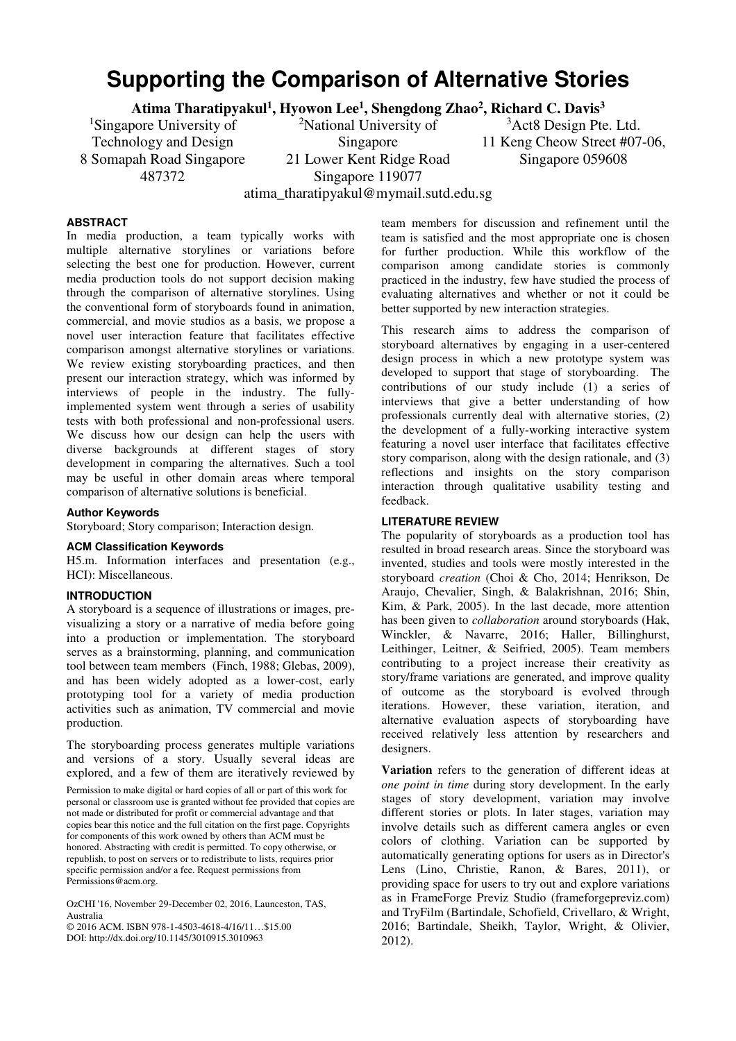# **Supporting the Comparison of Alternative Stories**

**Atima Tharatipyakul<sup>1</sup> , Hyowon Lee<sup>1</sup> , Shengdong Zhao<sup>2</sup> , Richard C. Davis<sup>3</sup>** 

<sup>1</sup>Singapore University of Technology and Design 8 Somapah Road Singapore 487372

<sup>2</sup>National University of Singapore 21 Lower Kent Ridge Road Singapore 119077

<sup>3</sup>Act8 Design Pte. Ltd. 11 Keng Cheow Street #07-06, Singapore 059608

atima\_tharatipyakul@mymail.sutd.edu.sg

## **ABSTRACT**

In media production, a team typically works with multiple alternative storylines or variations before selecting the best one for production. However, current media production tools do not support decision making through the comparison of alternative storylines. Using the conventional form of storyboards found in animation, commercial, and movie studios as a basis, we propose a novel user interaction feature that facilitates effective comparison amongst alternative storylines or variations. We review existing storyboarding practices, and then present our interaction strategy, which was informed by interviews of people in the industry. The fullyimplemented system went through a series of usability tests with both professional and non-professional users. We discuss how our design can help the users with diverse backgrounds at different stages of story development in comparing the alternatives. Such a tool may be useful in other domain areas where temporal comparison of alternative solutions is beneficial.

#### **Author Keywords**

Storyboard; Story comparison; Interaction design.

## **ACM Classification Keywords**

H5.m. Information interfaces and presentation (e.g., HCI): Miscellaneous.

#### **INTRODUCTION**

A storyboard is a sequence of illustrations or images, previsualizing a story or a narrative of media before going into a production or implementation. The storyboard serves as a brainstorming, planning, and communication tool between team members (Finch, 1988; Glebas, 2009), and has been widely adopted as a lower-cost, early prototyping tool for a variety of media production activities such as animation, TV commercial and movie production.

The storyboarding process generates multiple variations and versions of a story. Usually several ideas are explored, and a few of them are iteratively reviewed by

Permission to make digital or hard copies of all or part of this work for personal or classroom use is granted without fee provided that copies are not made or distributed for profit or commercial advantage and that copies bear this notice and the full citation on the first page. Copyrights for components of this work owned by others than ACM must be honored. Abstracting with credit is permitted. To copy otherwise, or republish, to post on servers or to redistribute to lists, requires prior specific permission and/or a fee. Request permissions from Permissions@acm.org.

OzCHI '16, November 29-December 02, 2016, Launceston, TAS, Australia

© 2016 ACM. ISBN 978-1-4503-4618-4/16/11…\$15.00 DOI: http://dx.doi.org/10.1145/3010915.3010963

team members for discussion and refinement until the team is satisfied and the most appropriate one is chosen for further production. While this workflow of the comparison among candidate stories is commonly practiced in the industry, few have studied the process of evaluating alternatives and whether or not it could be better supported by new interaction strategies.

This research aims to address the comparison of storyboard alternatives by engaging in a user-centered design process in which a new prototype system was developed to support that stage of storyboarding. The contributions of our study include (1) a series of interviews that give a better understanding of how professionals currently deal with alternative stories, (2) the development of a fully-working interactive system featuring a novel user interface that facilitates effective story comparison, along with the design rationale, and (3) reflections and insights on the story comparison interaction through qualitative usability testing and feedback.

#### **LITERATURE REVIEW**

The popularity of storyboards as a production tool has resulted in broad research areas. Since the storyboard was invented, studies and tools were mostly interested in the storyboard *creation* (Choi & Cho, 2014; Henrikson, De Araujo, Chevalier, Singh, & Balakrishnan, 2016; Shin, Kim, & Park, 2005). In the last decade, more attention has been given to *collaboration* around storyboards (Hak, Winckler, & Navarre, 2016; Haller, Billinghurst, Leithinger, Leitner, & Seifried, 2005). Team members contributing to a project increase their creativity as story/frame variations are generated, and improve quality of outcome as the storyboard is evolved through iterations. However, these variation, iteration, and alternative evaluation aspects of storyboarding have received relatively less attention by researchers and designers.

**Variation** refers to the generation of different ideas at *one point in time* during story development. In the early stages of story development, variation may involve different stories or plots. In later stages, variation may involve details such as different camera angles or even colors of clothing. Variation can be supported by automatically generating options for users as in Director's Lens (Lino, Christie, Ranon, & Bares, 2011), or providing space for users to try out and explore variations as in FrameForge Previz Studio (frameforgepreviz.com) and TryFilm (Bartindale, Schofield, Crivellaro, & Wright, 2016; Bartindale, Sheikh, Taylor, Wright, & Olivier, 2012).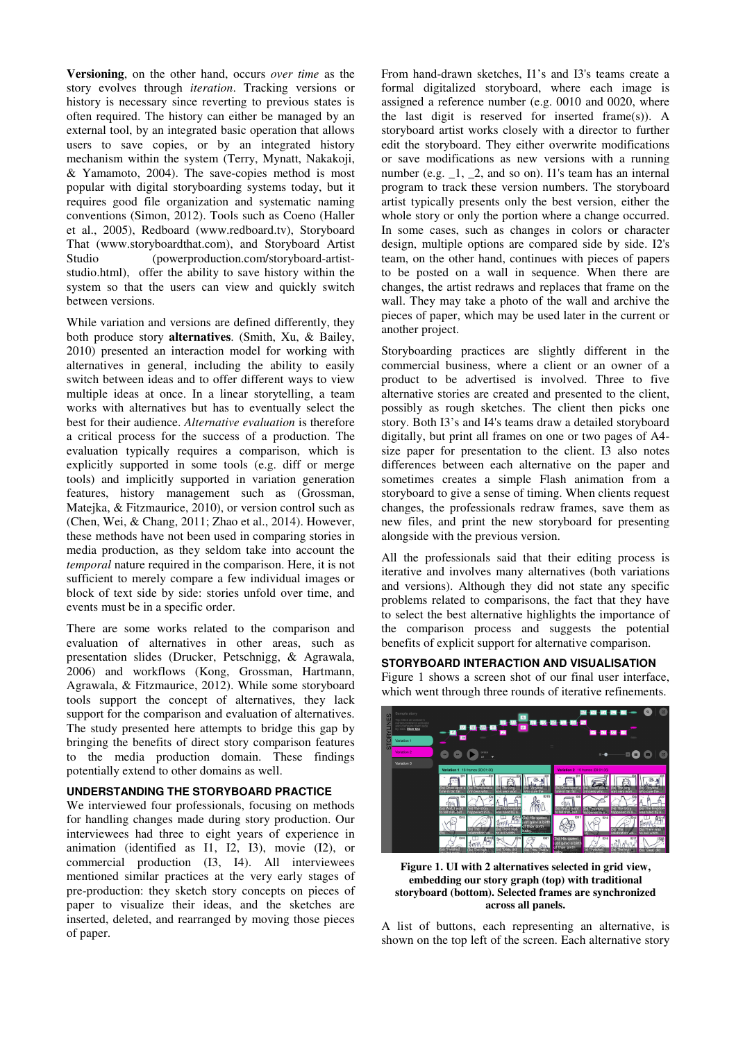**Versioning**, on the other hand, occurs *over time* as the story evolves through *iteration*. Tracking versions or history is necessary since reverting to previous states is often required. The history can either be managed by an external tool, by an integrated basic operation that allows users to save copies, or by an integrated history mechanism within the system (Terry, Mynatt, Nakakoji, & Yamamoto, 2004). The save-copies method is most popular with digital storyboarding systems today, but it requires good file organization and systematic naming conventions (Simon, 2012). Tools such as Coeno (Haller et al., 2005), Redboard (www.redboard.tv), Storyboard That (www.storyboardthat.com), and Storyboard Artist Studio (powerproduction.com/storyboard-artiststudio.html), offer the ability to save history within the system so that the users can view and quickly switch between versions.

While variation and versions are defined differently, they both produce story **alternatives**. (Smith, Xu, & Bailey, 2010) presented an interaction model for working with alternatives in general, including the ability to easily switch between ideas and to offer different ways to view multiple ideas at once. In a linear storytelling, a team works with alternatives but has to eventually select the best for their audience. *Alternative evaluation* is therefore a critical process for the success of a production. The evaluation typically requires a comparison, which is explicitly supported in some tools (e.g. diff or merge tools) and implicitly supported in variation generation features, history management such as (Grossman, Matejka, & Fitzmaurice, 2010), or version control such as (Chen, Wei, & Chang, 2011; Zhao et al., 2014). However, these methods have not been used in comparing stories in media production, as they seldom take into account the *temporal* nature required in the comparison. Here, it is not sufficient to merely compare a few individual images or block of text side by side: stories unfold over time, and events must be in a specific order.

There are some works related to the comparison and evaluation of alternatives in other areas, such as presentation slides (Drucker, Petschnigg, & Agrawala, 2006) and workflows (Kong, Grossman, Hartmann, Agrawala, & Fitzmaurice, 2012). While some storyboard tools support the concept of alternatives, they lack support for the comparison and evaluation of alternatives. The study presented here attempts to bridge this gap by bringing the benefits of direct story comparison features to the media production domain. These findings potentially extend to other domains as well.

## **UNDERSTANDING THE STORYBOARD PRACTICE**

We interviewed four professionals, focusing on methods for handling changes made during story production. Our interviewees had three to eight years of experience in animation (identified as I1, I2, I3), movie (I2), or commercial production (I3, I4). All interviewees mentioned similar practices at the very early stages of pre-production: they sketch story concepts on pieces of paper to visualize their ideas, and the sketches are inserted, deleted, and rearranged by moving those pieces of paper.

From hand-drawn sketches, I1's and I3's teams create a formal digitalized storyboard, where each image is assigned a reference number (e.g. 0010 and 0020, where the last digit is reserved for inserted frame(s)). A storyboard artist works closely with a director to further edit the storyboard. They either overwrite modifications or save modifications as new versions with a running number (e.g.  $\_1$ ,  $\_2$ , and so on). Il's team has an internal program to track these version numbers. The storyboard artist typically presents only the best version, either the whole story or only the portion where a change occurred. In some cases, such as changes in colors or character design, multiple options are compared side by side. I2's team, on the other hand, continues with pieces of papers to be posted on a wall in sequence. When there are changes, the artist redraws and replaces that frame on the wall. They may take a photo of the wall and archive the pieces of paper, which may be used later in the current or another project.

Storyboarding practices are slightly different in the commercial business, where a client or an owner of a product to be advertised is involved. Three to five alternative stories are created and presented to the client, possibly as rough sketches. The client then picks one story. Both I3's and I4's teams draw a detailed storyboard digitally, but print all frames on one or two pages of A4 size paper for presentation to the client. I3 also notes differences between each alternative on the paper and sometimes creates a simple Flash animation from a storyboard to give a sense of timing. When clients request changes, the professionals redraw frames, save them as new files, and print the new storyboard for presenting alongside with the previous version.

All the professionals said that their editing process is iterative and involves many alternatives (both variations and versions). Although they did not state any specific problems related to comparisons, the fact that they have to select the best alternative highlights the importance of the comparison process and suggests the potential benefits of explicit support for alternative comparison.

## **STORYBOARD INTERACTION AND VISUALISATION**

Figure 1 shows a screen shot of our final user interface, which went through three rounds of iterative refinements.



#### **Figure 1. UI with 2 alternatives selected in grid view, embedding our story graph (top) with traditional storyboard (bottom). Selected frames are synchronized across all panels.**

A list of buttons, each representing an alternative, is shown on the top left of the screen. Each alternative story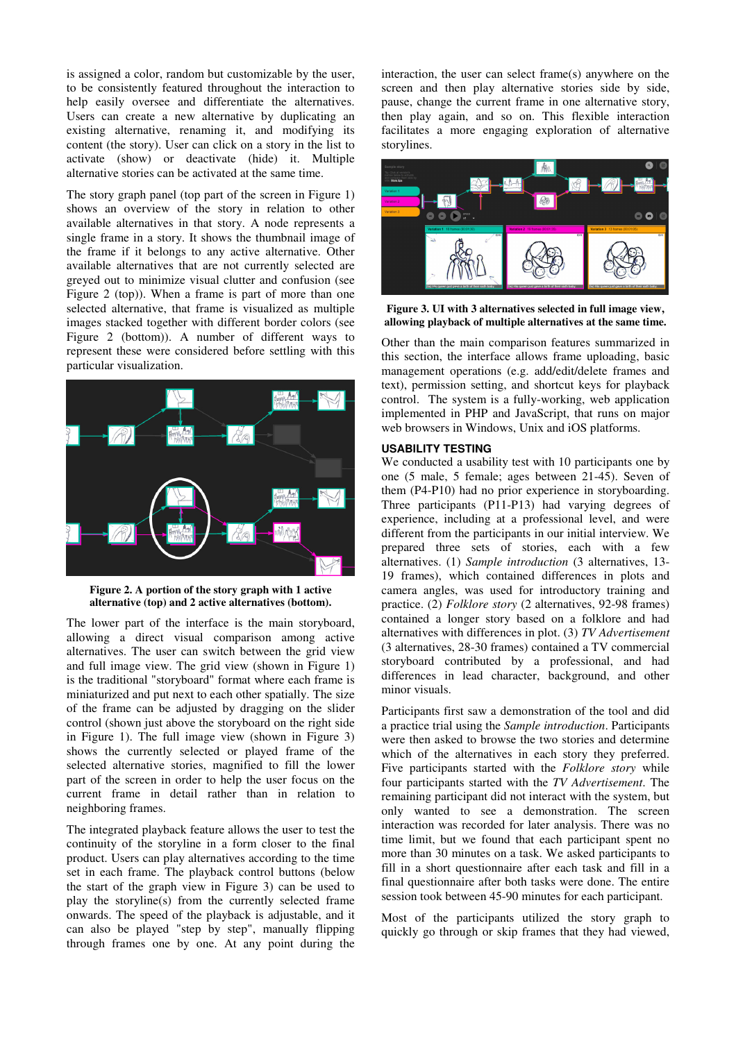is assigned a color, random but customizable by the user, to be consistently featured throughout the interaction to help easily oversee and differentiate the alternatives. Users can create a new alternative by duplicating an existing alternative, renaming it, and modifying its content (the story). User can click on a story in the list to activate (show) or deactivate (hide) it. Multiple alternative stories can be activated at the same time.

The story graph panel (top part of the screen in Figure 1) shows an overview of the story in relation to other available alternatives in that story. A node represents a single frame in a story. It shows the thumbnail image of the frame if it belongs to any active alternative. Other available alternatives that are not currently selected are greyed out to minimize visual clutter and confusion (see Figure 2 (top)). When a frame is part of more than one selected alternative, that frame is visualized as multiple images stacked together with different border colors (see Figure 2 (bottom)). A number of different ways to represent these were considered before settling with this particular visualization.



**Figure 2. A portion of the story graph with 1 active alternative (top) and 2 active alternatives (bottom).** 

The lower part of the interface is the main storyboard, allowing a direct visual comparison among active alternatives. The user can switch between the grid view and full image view. The grid view (shown in Figure 1) is the traditional "storyboard" format where each frame is miniaturized and put next to each other spatially. The size of the frame can be adjusted by dragging on the slider control (shown just above the storyboard on the right side in Figure 1). The full image view (shown in Figure 3) shows the currently selected or played frame of the selected alternative stories, magnified to fill the lower part of the screen in order to help the user focus on the current frame in detail rather than in relation to neighboring frames.

The integrated playback feature allows the user to test the continuity of the storyline in a form closer to the final product. Users can play alternatives according to the time set in each frame. The playback control buttons (below the start of the graph view in Figure 3) can be used to play the storyline(s) from the currently selected frame onwards. The speed of the playback is adjustable, and it can also be played "step by step", manually flipping through frames one by one. At any point during the

interaction, the user can select frame(s) anywhere on the screen and then play alternative stories side by side, pause, change the current frame in one alternative story, then play again, and so on. This flexible interaction facilitates a more engaging exploration of alternative storylines.



**Figure 3. UI with 3 alternatives selected in full image view, allowing playback of multiple alternatives at the same time.** 

Other than the main comparison features summarized in this section, the interface allows frame uploading, basic management operations (e.g. add/edit/delete frames and text), permission setting, and shortcut keys for playback control. The system is a fully-working, web application implemented in PHP and JavaScript, that runs on major web browsers in Windows, Unix and iOS platforms.

## **USABILITY TESTING**

We conducted a usability test with 10 participants one by one (5 male, 5 female; ages between 21-45). Seven of them (P4-P10) had no prior experience in storyboarding. Three participants (P11-P13) had varying degrees of experience, including at a professional level, and were different from the participants in our initial interview. We prepared three sets of stories, each with a few alternatives. (1) *Sample introduction* (3 alternatives, 13- 19 frames), which contained differences in plots and camera angles, was used for introductory training and practice. (2) *Folklore story* (2 alternatives, 92-98 frames) contained a longer story based on a folklore and had alternatives with differences in plot. (3) *TV Advertisement* (3 alternatives, 28-30 frames) contained a TV commercial storyboard contributed by a professional, and had differences in lead character, background, and other minor visuals.

Participants first saw a demonstration of the tool and did a practice trial using the *Sample introduction*. Participants were then asked to browse the two stories and determine which of the alternatives in each story they preferred. Five participants started with the *Folklore story* while four participants started with the *TV Advertisement*. The remaining participant did not interact with the system, but only wanted to see a demonstration. The screen interaction was recorded for later analysis. There was no time limit, but we found that each participant spent no more than 30 minutes on a task. We asked participants to fill in a short questionnaire after each task and fill in a final questionnaire after both tasks were done. The entire session took between 45-90 minutes for each participant.

Most of the participants utilized the story graph to quickly go through or skip frames that they had viewed,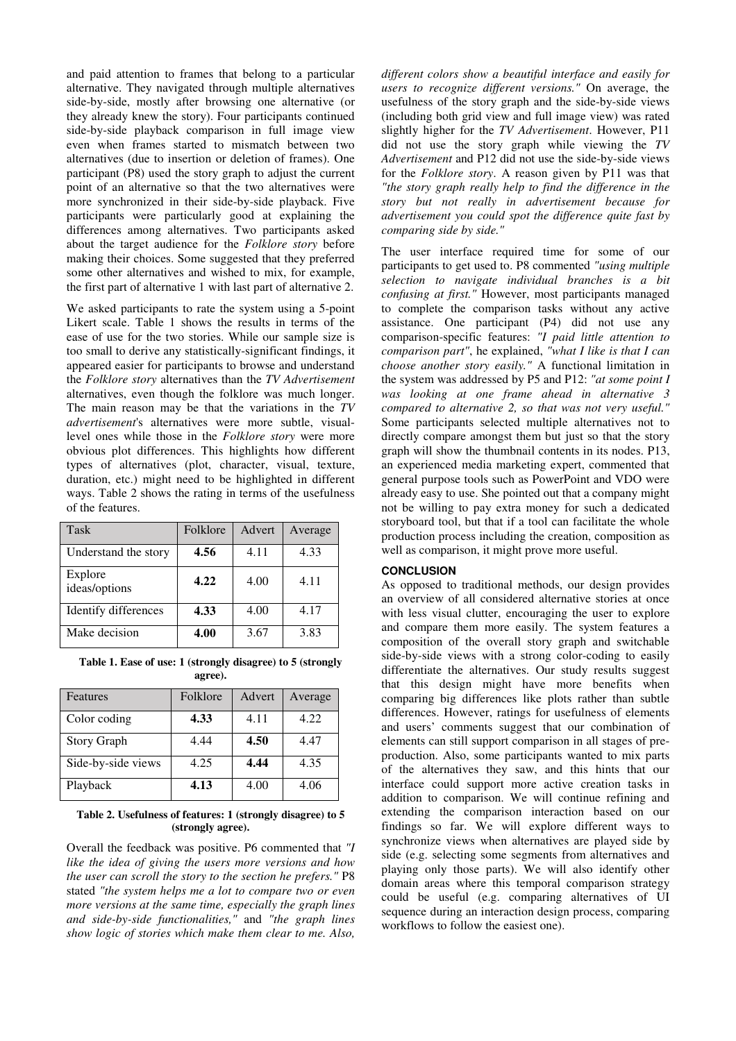and paid attention to frames that belong to a particular alternative. They navigated through multiple alternatives side-by-side, mostly after browsing one alternative (or they already knew the story). Four participants continued side-by-side playback comparison in full image view even when frames started to mismatch between two alternatives (due to insertion or deletion of frames). One participant (P8) used the story graph to adjust the current point of an alternative so that the two alternatives were more synchronized in their side-by-side playback. Five participants were particularly good at explaining the differences among alternatives. Two participants asked about the target audience for the *Folklore story* before making their choices. Some suggested that they preferred some other alternatives and wished to mix, for example, the first part of alternative 1 with last part of alternative 2.

We asked participants to rate the system using a 5-point Likert scale. Table 1 shows the results in terms of the ease of use for the two stories. While our sample size is too small to derive any statistically-significant findings, it appeared easier for participants to browse and understand the *Folklore story* alternatives than the *TV Advertisement*  alternatives, even though the folklore was much longer. The main reason may be that the variations in the *TV advertisement*'s alternatives were more subtle, visuallevel ones while those in the *Folklore story* were more obvious plot differences. This highlights how different types of alternatives (plot, character, visual, texture, duration, etc.) might need to be highlighted in different ways. Table 2 shows the rating in terms of the usefulness of the features.

| Task                     | Folklore | Advert | Average |
|--------------------------|----------|--------|---------|
| Understand the story     | 4.56     | 4.11   | 4.33    |
| Explore<br>ideas/options | 4.22     | 4.00   | 4.11    |
| Identify differences     | 4.33     | 4.00   | 4.17    |
| Make decision            | 4.00     | 3.67   | 3.83    |

**Table 1. Ease of use: 1 (strongly disagree) to 5 (strongly agree).** 

| Features           | Folklore | Advert | Average |
|--------------------|----------|--------|---------|
| Color coding       | 4.33     | 4.11   | 4.22    |
| <b>Story Graph</b> | 4.44     | 4.50   | 4.47    |
| Side-by-side views | 4.25     | 4.44   | 4.35    |
| Playback           | 4.13     | 4.00   | 4.06    |

#### **Table 2. Usefulness of features: 1 (strongly disagree) to 5 (strongly agree).**

Overall the feedback was positive. P6 commented that *"I like the idea of giving the users more versions and how the user can scroll the story to the section he prefers."* P8 stated *"the system helps me a lot to compare two or even more versions at the same time, especially the graph lines and side-by-side functionalities,"* and *"the graph lines show logic of stories which make them clear to me. Also,* 

*different colors show a beautiful interface and easily for users to recognize different versions."* On average, the usefulness of the story graph and the side-by-side views (including both grid view and full image view) was rated slightly higher for the *TV Advertisement*. However, P11 did not use the story graph while viewing the *TV Advertisement* and P12 did not use the side-by-side views for the *Folklore story*. A reason given by P11 was that *"the story graph really help to find the difference in the story but not really in advertisement because for advertisement you could spot the difference quite fast by comparing side by side."*

The user interface required time for some of our participants to get used to. P8 commented *"using multiple selection to navigate individual branches is a bit confusing at first."* However, most participants managed to complete the comparison tasks without any active assistance. One participant (P4) did not use any comparison-specific features: *"I paid little attention to comparison part"*, he explained, *"what I like is that I can choose another story easily."* A functional limitation in the system was addressed by P5 and P12: *"at some point I was looking at one frame ahead in alternative 3 compared to alternative 2, so that was not very useful."* Some participants selected multiple alternatives not to directly compare amongst them but just so that the story graph will show the thumbnail contents in its nodes. P13, an experienced media marketing expert, commented that general purpose tools such as PowerPoint and VDO were already easy to use. She pointed out that a company might not be willing to pay extra money for such a dedicated storyboard tool, but that if a tool can facilitate the whole production process including the creation, composition as well as comparison, it might prove more useful.

# **CONCLUSION**

As opposed to traditional methods, our design provides an overview of all considered alternative stories at once with less visual clutter, encouraging the user to explore and compare them more easily. The system features a composition of the overall story graph and switchable side-by-side views with a strong color-coding to easily differentiate the alternatives. Our study results suggest that this design might have more benefits when comparing big differences like plots rather than subtle differences. However, ratings for usefulness of elements and users' comments suggest that our combination of elements can still support comparison in all stages of preproduction. Also, some participants wanted to mix parts of the alternatives they saw, and this hints that our interface could support more active creation tasks in addition to comparison. We will continue refining and extending the comparison interaction based on our findings so far. We will explore different ways to synchronize views when alternatives are played side by side (e.g. selecting some segments from alternatives and playing only those parts). We will also identify other domain areas where this temporal comparison strategy could be useful (e.g. comparing alternatives of UI sequence during an interaction design process, comparing workflows to follow the easiest one).